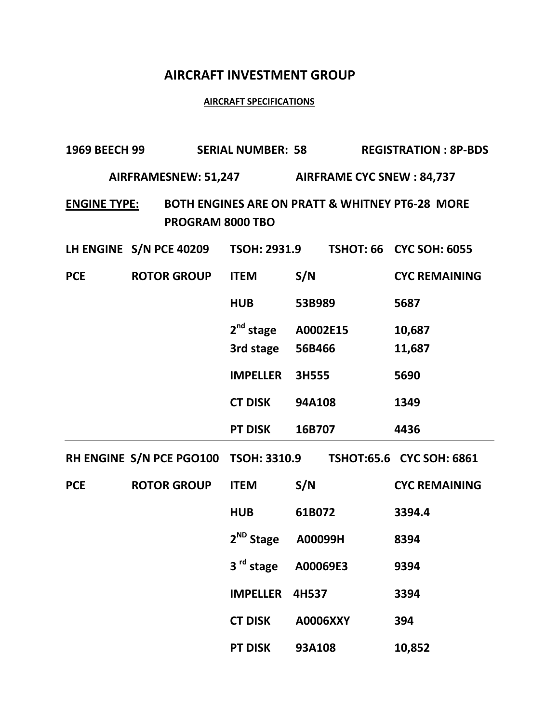## **AIRCRAFT INVESTMENT GROUP**

## **AIRCRAFT SPECIFICATIONS**

| <b>1969 BEECH 99</b> |                    | <b>SERIAL NUMBER: 58</b>                  |                                                                | <b>REGISTRATION: 8P-BDS</b> |  |
|----------------------|--------------------|-------------------------------------------|----------------------------------------------------------------|-----------------------------|--|
|                      |                    |                                           | AIRFRAMESNEW: 51,247 AIRFRAME CYC SNEW: 84,737                 |                             |  |
| <u>ENGINE TYPE:</u>  | PROGRAM 8000 TBO   |                                           | BOTH ENGINES ARE ON PRATT & WHITNEY PT6-28 MORE                |                             |  |
|                      |                    |                                           | LH ENGINE S/N PCE 40209 TSOH: 2931.9 TSHOT: 66 CYC SOH: 6055   |                             |  |
| <b>PCE</b>           | <b>ROTOR GROUP</b> | <b>ITEM</b>                               | S/N                                                            | <b>CYC REMAINING</b>        |  |
|                      |                    | <b>HUB</b>                                | 53B989                                                         | 5687                        |  |
|                      |                    | 2 <sup>nd</sup> stage<br>3rd stage 56B466 | A0002E15                                                       | 10,687<br>11,687            |  |
|                      |                    | <b>IMPELLER</b>                           | 3H555                                                          | 5690                        |  |
|                      |                    | <b>CT DISK</b>                            | <b>94A108</b>                                                  | 1349                        |  |
|                      |                    | <b>PT DISK</b>                            | 16B707                                                         | 4436                        |  |
|                      |                    |                                           | RH ENGINE S/N PCE PGO100 TSOH: 3310.9 TSHOT:65.6 CYC SOH: 6861 |                             |  |
| <b>PCE</b>           | <b>ROTOR GROUP</b> | <b>ITEM</b>                               | S/N                                                            | <b>CYC REMAINING</b>        |  |
|                      |                    | <b>HUB</b>                                | 61B072                                                         | 3394.4                      |  |
|                      |                    | $2^{ND}$ Stage                            | A00099H                                                        | 8394                        |  |
|                      |                    | 3 <sup>rd</sup> stage                     | A00069E3                                                       | 9394                        |  |
|                      |                    | <b>IMPELLER</b>                           | 4H537                                                          | 3394                        |  |
|                      |                    | <b>CT DISK</b>                            | A0006XXY                                                       | 394                         |  |
|                      |                    | <b>PT DISK</b>                            | 93A108                                                         | 10,852                      |  |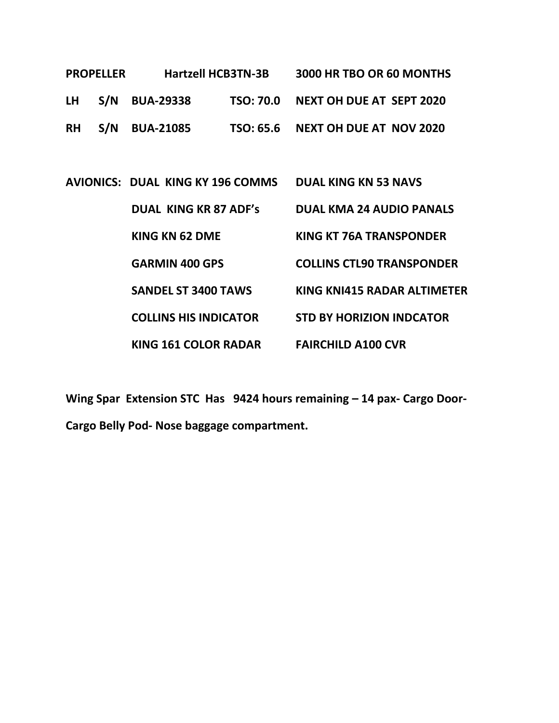| <b>PROPELLER</b> |  | <b>Hartzell HCB3TN-3B</b> |  | 3000 HR TBO OR 60 MONTHS           |
|------------------|--|---------------------------|--|------------------------------------|
|                  |  | LH S/N BUA-29338          |  | TSO: 70.0 NEXT OH DUE AT SEPT 2020 |
|                  |  | <b>RH S/N BUA-21085</b>   |  | TSO: 65.6 NEXT OH DUE AT NOV 2020  |

| AVIONICS: DUAL KING KY 196 COMMS | <b>DUAL KING KN 53 NAVS</b>      |
|----------------------------------|----------------------------------|
| <b>DUAL KING KR 87 ADF's</b>     | <b>DUAL KMA 24 AUDIO PANALS</b>  |
| KING KN 62 DME                   | KING KT 76A TRANSPONDER          |
| <b>GARMIN 400 GPS</b>            | <b>COLLINS CTL90 TRANSPONDER</b> |
| <b>SANDEL ST 3400 TAWS</b>       | KING KNI415 RADAR ALTIMETER      |
| <b>COLLINS HIS INDICATOR</b>     | <b>STD BY HORIZION INDCATOR</b>  |
| <b>KING 161 COLOR RADAR</b>      | <b>FAIRCHILD A100 CVR</b>        |

**Wing Spar Extension STC Has 9424 hours remaining – 14 pax- Cargo Door-Cargo Belly Pod- Nose baggage compartment.**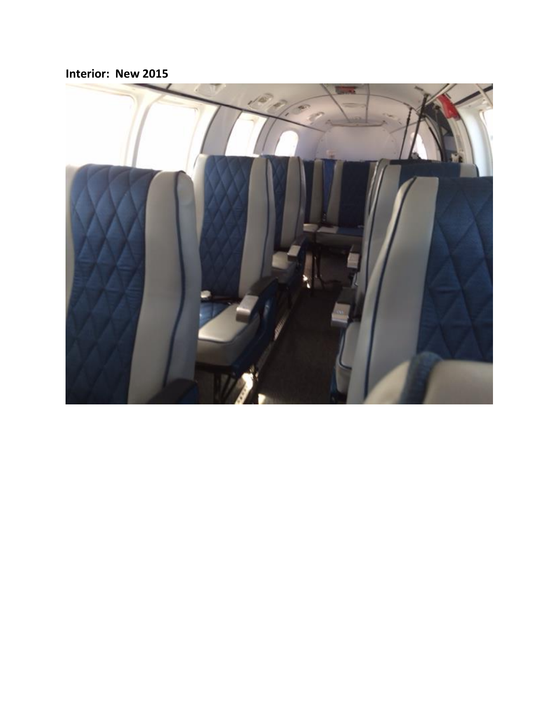**Interior: New 2015**